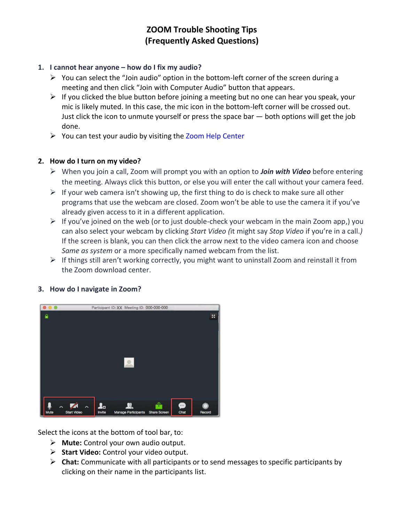# **ZOOM Trouble Shooting Tips (Frequently Asked Questions)**

### **1. I cannot hear anyone – how do I fix my audio?**

- ➢ You can select the "Join audio" option in the bottom-left corner of the screen during a meeting and then click "Join with Computer Audio" button that appears.
- $\triangleright$  If you clicked the blue button before joining a meeting but no one can hear you speak, your mic is likely muted. In this case, the mic icon in the bottom-left corner will be crossed out. Just click the icon to unmute yourself or press the space bar  $-$  both options will get the job done.
- ➢ You can test your audio by visiting th[e Zoom Help Center](https://support.zoom.us/hc/en-us/articles/201362283-How-Do-I-Join-or-Test-My-Computer-Audio-)

### **2. How do I turn on my video?**

- ➢ When you join a call, Zoom will prompt you with an option to *Join with Video* before entering the meeting. Always click this button, or else you will enter the call without your camera feed.
- $\triangleright$  If your web camera isn't showing up, the first thing to do is check to make sure all other programs that use the webcam are closed. Zoom won't be able to use the camera it if you've already given access to it in a different application.
- $\triangleright$  If you've joined on the web (or to just double-check your webcam in the main Zoom app,) you can also select your webcam by clicking *Start Video (*it might say *Stop Video* if you're in a call.*)*  If the screen is blank, you can then click the arrow next to the video camera icon and choose *Same as system* or a more specifically named webcam from the list.
- $\triangleright$  If things still aren't working correctly, you might want to uninstall Zoom and reinstall it from the Zoom download center.



### **3. How do I navigate in Zoom?**

Select the icons at the bottom of tool bar, to:

- ➢ **Mute:** Control your own audio output.
- ➢ **Start Video:** Control your video output.
- ➢ **Chat:** Communicate with all participants or to send messages to specific participants by clicking on their name in the participants list.